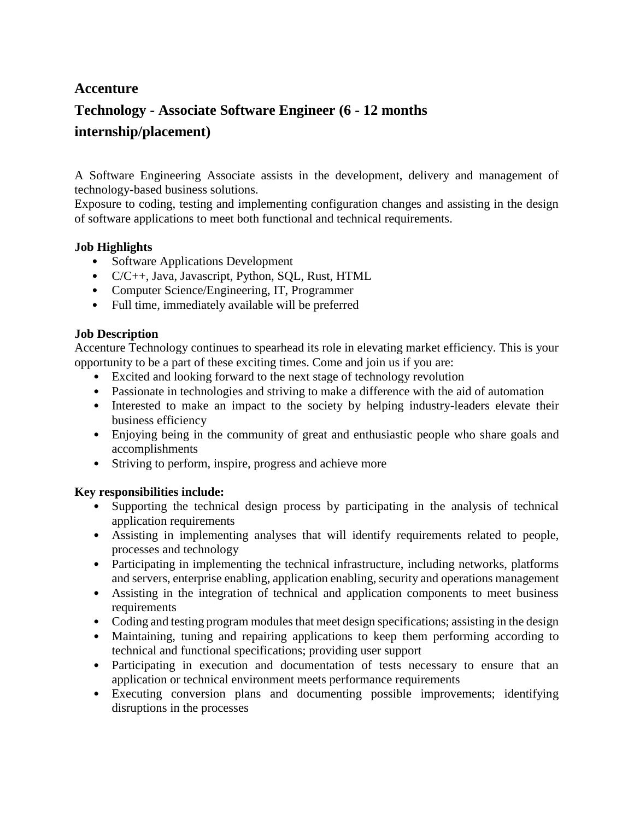# **Accenture**

# **Technology - Associate Software Engineer (6 - 12 months internship/placement)**

A Software Engineering Associate assists in the development, delivery and management of technology-based business solutions.

Exposure to coding, testing and implementing configuration changes and assisting in the design of software applications to meet both functional and technical requirements.

## **Job Highlights**

- Software Applications Development
- C/C++, Java, Javascript, Python, SQL, Rust, HTML
- Computer Science/Engineering, IT, Programmer
- Full time, immediately available will be preferred

## **Job Description**

Accenture Technology continues to spearhead its role in elevating market efficiency. This is your opportunity to be a part of these exciting times. Come and join us if you are:

- Excited and looking forward to the next stage of technology revolution
- Passionate in technologies and striving to make a difference with the aid of automation
- Interested to make an impact to the society by helping industry-leaders elevate their business efficiency
- Enjoying being in the community of great and enthusiastic people who share goals and accomplishments
- Striving to perform, inspire, progress and achieve more

#### **Key responsibilities include:**

- Supporting the technical design process by participating in the analysis of technical application requirements
- Assisting in implementing analyses that will identify requirements related to people, processes and technology
- Participating in implementing the technical infrastructure, including networks, platforms and servers, enterprise enabling, application enabling, security and operations management
- Assisting in the integration of technical and application components to meet business requirements
- Coding and testing program modules that meet design specifications; assisting in the design
- Maintaining, tuning and repairing applications to keep them performing according to technical and functional specifications; providing user support
- Participating in execution and documentation of tests necessary to ensure that an application or technical environment meets performance requirements
- Executing conversion plans and documenting possible improvements; identifying disruptions in the processes